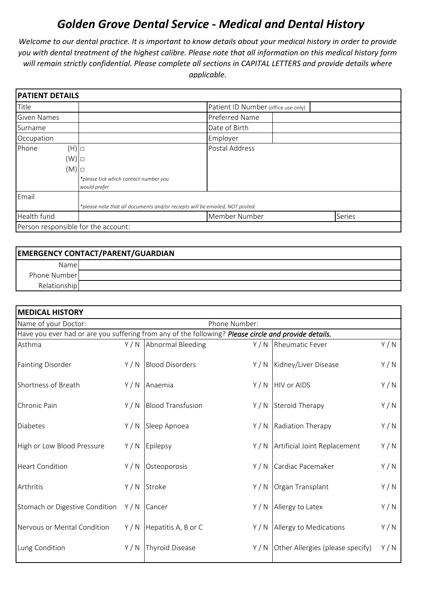## *Golden Grove Dental Service - Medical and Dental History*

*Welcome to our dental practice. It is important to know details about your medical history in order to provide you with dental treatment of the highest calibre. Please note that all information on this medical history form will remain strictly confidential. Please complete all sections in CAPITAL LETTERS and provide details where applicable.* 

| <b>PATIENT DETAILS</b>              |                                                                              |                                     |        |
|-------------------------------------|------------------------------------------------------------------------------|-------------------------------------|--------|
| <b>Title</b>                        |                                                                              | Patient ID Number (office use only) |        |
| <b>Given Names</b>                  |                                                                              | Preferred Name                      |        |
| Surname                             |                                                                              | Date of Birth                       |        |
| Occupation                          |                                                                              | Employer                            |        |
| Phone<br>$(H)$ $\Box$               |                                                                              | Postal Address                      |        |
| (W)                                 |                                                                              |                                     |        |
| (M)                                 |                                                                              |                                     |        |
|                                     | *please tick which contact number you<br>would prefer                        |                                     |        |
| Email                               |                                                                              |                                     |        |
|                                     | *please note that all documents and/or reciepts will be emailed, NOT posted. |                                     |        |
| Health fund                         |                                                                              | Member Number                       | Series |
| Person responsible for the account: |                                                                              |                                     |        |

| <b>EMERGENCY CONTACT/PARENT/GUARDIAN</b> |  |  |  |  |
|------------------------------------------|--|--|--|--|
| Namel                                    |  |  |  |  |
| Phone Number                             |  |  |  |  |
| Relationship                             |  |  |  |  |

| <b>MEDICAL HISTORY</b>                |                                                                                                      |                          |     |                                  |     |
|---------------------------------------|------------------------------------------------------------------------------------------------------|--------------------------|-----|----------------------------------|-----|
| Name of your Doctor:<br>Phone Number: |                                                                                                      |                          |     |                                  |     |
|                                       | Have you ever had or are you suffering from any of the following? Please circle and provide details. |                          |     |                                  |     |
| Asthma                                |                                                                                                      | Y / N Abnormal Bleeding  |     | Y / N   Rheumatic Fever          | Y/N |
| <b>Fainting Disorder</b>              | Y/N                                                                                                  | <b>Blood Disorders</b>   |     | Y / N   Kidney/Liver Disease     | Y/N |
| Shortness of Breath                   | Y/N                                                                                                  | Anaemia                  | Y/N | <b>HIV or AIDS</b>               | Y/N |
| Chronic Pain                          | Y/N                                                                                                  | <b>Blood Transfusion</b> | Y/N | <b>Steroid Therapy</b>           | Y/N |
| <b>Diabetes</b>                       | Y/N                                                                                                  | Sleep Apnoea             | Y/N | Radiation Therapy                | Y/N |
| High or Low Blood Pressure            | Y/N                                                                                                  | Epilepsy                 | Y/N | Artificial Joint Replacement     | Y/N |
| <b>Heart Condition</b>                | Y/N                                                                                                  | Osteoporosis             | Y/N | Cardiac Pacemaker                | Y/N |
| Arthritis                             | Y/N                                                                                                  | Stroke                   | Y/N | Organ Transplant                 | Y/N |
| Stomach or Digestive Condition        | Y/N                                                                                                  | Cancer                   | Y/N | Allergy to Latex                 | Y/N |
| Nervous or Mental Condition           | Y/N                                                                                                  | Hepatitis A, B or C      | Y/N | Allergy to Medications           | Y/N |
| Lung Condition                        | Y/N                                                                                                  | <b>Thyroid Disease</b>   | Y/N | Other Allergies (please specify) | Y/N |